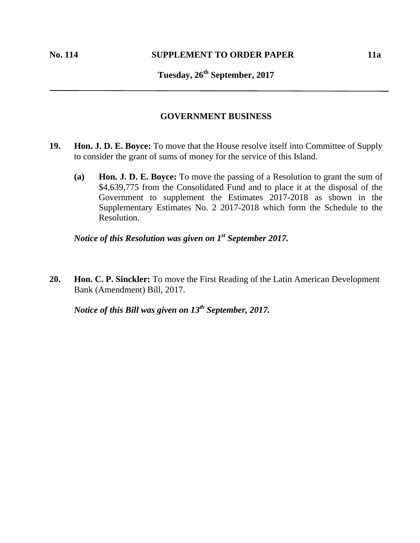## **Tuesday, 26th September, 2017**

## **GOVERNMENT BUSINESS**

- **19. Hon. J. D. E. Boyce:** To move that the House resolve itself into Committee of Supply to consider the grant of sums of money for the service of this Island.
	- **(a) Hon. J. D. E. Boyce:** To move the passing of a Resolution to grant the sum of \$4,639,775 from the Consolidated Fund and to place it at the disposal of the Government to supplement the Estimates 2017-2018 as shown in the Supplementary Estimates No. 2 2017-2018 which form the Schedule to the Resolution.

*Notice of this Resolution was given on 1 st September 2017.*

**20. Hon. C. P. Sinckler:** To move the First Reading of the Latin American Development Bank (Amendment) Bill, 2017.

*Notice of this Bill was given on 13th September, 2017.*